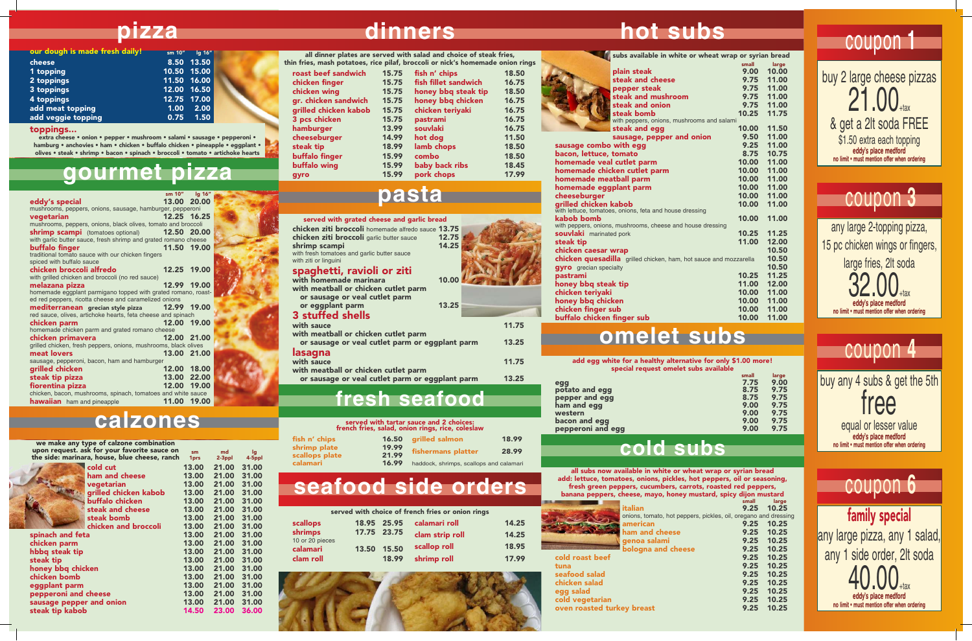buffalo chicken finger sub

with homemade marinara with meatball or chicken cutlet pa or sausage or veal cutlet parm fish n' chips 18.50

or nick's homemade onion rings

| 15.75 | fish fillet sandwich | 16.75 |
|-------|----------------------|-------|
| 15.75 | honey bbq steak tip  | 18.50 |
| 15.75 | honey bbq chicken    | 16.75 |
| 15.75 | chicken teriyaki     | 16.75 |
| 15.75 | pastrami             | 16.75 |
| 13.99 | souvlaki             | 16.75 |
| 14.99 | hot dog              | 11.50 |
| 18.99 | lamb chops           | 18.50 |
| 15.99 | combo                | 18.50 |
| 15.99 | baby back ribs       | 18.45 |
| 15.99 | pork chops           | 17.99 |

### **seafood side orders**

| subs available in white or wheat wrap or syrian bread                            |       |       |
|----------------------------------------------------------------------------------|-------|-------|
|                                                                                  | small | large |
| plain steak                                                                      | 9.00  | 10.00 |
| steak and cheese                                                                 | 9.75  | 11.00 |
| pepper steak                                                                     | 9.75  | 11.00 |
| steak and mushroom                                                               | 9.75  | 11.00 |
| steak and onion                                                                  | 9.75  | 11.00 |
| steak bomb                                                                       | 10.25 | 11.75 |
| with peppers, onions, mushrooms and salami                                       |       |       |
| steak and egg                                                                    | 10.00 | 11.50 |
| sausage, pepper and onion                                                        | 9.50  | 11.00 |
| sausage combo with egg                                                           | 9.25  | 11.00 |
| bacon, lettuce, tomato                                                           | 8.75  | 10.75 |
| homemade veal cutlet parm                                                        | 10.00 | 11.00 |
| homemade chicken cutlet parm                                                     | 10.00 | 11.00 |
| homemade meatball parm                                                           | 10.00 | 11.00 |
| homemade eggplant parm                                                           | 10.00 | 11.00 |
| cheeseburger                                                                     | 10.00 | 11.00 |
| grilled chicken kabob<br>with lettuce, tomatoes, onions, feta and house dressing | 10.00 | 11.00 |
| kabob bomb                                                                       | 10.00 | 11.00 |
| with peppers, onions, mushrooms, cheese and house dressing                       |       |       |
| souvlaki marinated pork                                                          | 10.25 | 11.25 |
| steak tip                                                                        | 11.00 | 12.00 |
| chicken caesar wrap                                                              |       | 10.50 |
| chicken quesadilla grilled chicken, ham, hot sauce and mozzarella                |       | 10.50 |
| gyro grecian specialty                                                           |       | 10.50 |
| pastrami                                                                         | 10.25 | 11.25 |
| honey bbq steak tip                                                              | 11.00 | 12.00 |
| chicken teriyaki                                                                 | 10.00 | 11.00 |
| honey bbq chicken                                                                | 10.00 | 11.00 |
| chicken finger sub                                                               | 10.00 | 11.00 |
| buffalo chicken finger sub                                                       | 10.00 | 11.00 |

with fresh tomatoes and garlic butter sauce

with ziti or linguini

3 pcs ch hamburg cheeseburger steak tip buffalo finger buffalo wing

gyro

spaghetti, ravioli or ziti









or sausage or veal cutlet parm or eggplant parm 13.25



| utlet parm or eggplant parm |  |
|-----------------------------|--|
| 2211010                     |  |

### lasagna



with meatball or chicken cutlet parm



- 
- or sausage or veal cutlet parm or eggplant parm 13.25

### **pasta**

## **omelet subs**

| 16.50          | <b>grilled salmon</b>                   | 18.99 |
|----------------|-----------------------------------------|-------|
| 19.99<br>21.99 | fishermans platter                      | 28.99 |
| 16.99          | haddock, shrimps, scallops and calamari |       |

### fish n' chips shrimp plate scallops plate calamari

cold roast beef 14.25 14.25 18.95 17.99



| $\mathcal{L}(\mathcal{L})$ | $\mathcal{L}(\mathcal{L})$ and $\mathcal{L}(\mathcal{L})$ and $\mathcal{L}(\mathcal{L})$ |  |
|----------------------------|------------------------------------------------------------------------------------------|--|

we make any type of calzone combination upon request. ask for your favorite sauce on the side:



| upon request. ask for your favorite sauce on  | sm    | md        | lg     |
|-----------------------------------------------|-------|-----------|--------|
| the side: marinara, house, blue cheese, ranch | 1prs  | $2-3$ ppl | 4-5ppl |
| cold cut                                      | 13.00 | 21.00     | 31.00  |
| ham and cheese                                | 13.00 | 21.00     | 31.00  |
| vegetarian                                    | 13.00 | 21.00     | 31.00  |
| grilled chicken kabob                         | 13.00 | 21.00     | 31.00  |
| buffalo chicken                               | 13.00 | 21.00     | 31.00  |
| steak and cheese                              | 13.00 | 21.00     | 31.00  |
| steak bomb                                    | 13.00 | 21.00     | 31.00  |
| chicken and broccoli                          | 13.00 | 21.00     | 31.00  |
| spinach and feta                              | 13.00 | 21.00     | 31.00  |
| chicken parm                                  | 13.00 | 21.00     | 31.00  |
| hbbq steak tip                                | 13.00 | 21.00     | 31.00  |
| steak tip                                     | 13.00 | 21.00     | 31.00  |
| honey bbq chicken                             | 13.00 | 21.00     | 31.00  |
| chicken bomb                                  | 13.00 | 21.00     | 31.00  |
| eggplant parm                                 | 13.00 | 21.00     | 31.00  |

eggplant parm 13.00 21.00 31.00<br>
pepperoni and cheese 13.00 21.00 31.00

sausage pepper and onion 13.00 21.00 31.00<br>steak tip kabob 14.50 23.00 36.00

pepperoni and cheese 13.00 21.00<br>sausage pepper and onion 13.00 21.00

steak tip kabob 14.50

or eggplant parm 3 stuffed shells with meatball or chicken cutlet pa buy 2 large cheese pizzas  $21.00 +$ & get a 2lt soda FREE \$1.50 extra each topping

toppings...

**32.00**+tax eddy's place medford no limit • must mention offer when ordering

extra cheese • onion • pepper • mushroom • salami • sausage • pepperoni • hamburg • anchovies • ham • chicken • buffalo chicken • pineapple • eggplant • olives • steak • shrimp • bacon • spinach • broccoli • tomato • artichoke hearts

served with grated cheese and garlic bread

### served with tartar sauce and 2 choices:

|                | $153, 30184, 0111011 111143, 1155, 101531811$ |             |
|----------------|-----------------------------------------------|-------------|
|                | 16.50 grilled salmon                          | 18          |
| 19.99<br>21.99 | fishermans platter                            | $2\epsilon$ |
| 16.99          | haddock, shrimps, scallops and call           |             |

french fries, salad, onion rings, rice, coleslaw

**gourmet pizza**

cheese 8.50 13.50 1 topping 10.50 15.00 2 toppings 11.50 16.00 3 toppings 12.00 16.50 4 toppings 12.75 17.00 add meat topping and the 1.00 2.00 add veggie topping and 0.75 1.50

| thin fries, mash potatoes, rice pilaf, broccoli or nick's homemade onior |       | all dinner plates are served with salad and choice of steak fries, |     |
|--------------------------------------------------------------------------|-------|--------------------------------------------------------------------|-----|
| roast beef sandwich                                                      | 15.75 | fish n' chips                                                      | 18. |
| chicken finger                                                           | 15.75 | fish fillet sandwich                                               | 16. |
| chicken wing                                                             | 15.75 | honey bbq steak tip                                                | 18. |
| gr. chicken sandwich                                                     | 15.75 | honey bbq chicken                                                  | 16. |
| grilled chicken kabob                                                    | 15.75 | chicken teriyaki                                                   | 16. |
| 3 pcs chicken                                                            | 15.75 | pastrami                                                           | 16. |
| hamburger                                                                | 13.99 | souvlaki                                                           | 16. |

**chicken ziti broccoli** homemade alfredo sauce 13.75<br>**chicken ziti broccoli** garlic butter sauce 12.75 **chicken ziti broccoli** garlic butter sauce **12.75**<br>**shrimp scampi** 14.25

| pizza | <b>dinners</b> |  | <b>hot subs</b> |  |
|-------|----------------|--|-----------------|--|
|       |                |  |                 |  |

add egg white for a healthy alternative for only \$1.00 more! special request omelet subs available

|                   | small | large |
|-------------------|-------|-------|
| egg               | 7.75  | 9.00  |
| potato and egg    | 8.75  | 9.75  |
| pepper and egg    | 8.75  | 9.75  |
| ham and egg       | 9.00  | 9.75  |
| western           | 9.00  | 9.75  |
| bacon and egg     | 9.00  | 9.75  |
| pepperoni and egg | 9.00  | 9.75  |
|                   |       |       |

| all subs now available in white or wheat wrap or syrian bread<br>add: lettuce, tomatoes, onions, pickles, hot peppers, oil or seasoning,<br>fresh green peppers, cucumbers, carrots, roasted red peppers,<br>banana peppers, cheese, mayo, honey mustard, spicy dijon mustard |       |       |  |  |  |
|-------------------------------------------------------------------------------------------------------------------------------------------------------------------------------------------------------------------------------------------------------------------------------|-------|-------|--|--|--|
|                                                                                                                                                                                                                                                                               | small | large |  |  |  |
| italian                                                                                                                                                                                                                                                                       | 9.25  | 10.25 |  |  |  |
| onions, tomato, hot peppers, pickles, oil, oregano and dressing                                                                                                                                                                                                               |       |       |  |  |  |
| american                                                                                                                                                                                                                                                                      | 9.25  | 10.25 |  |  |  |
| ham and cheese                                                                                                                                                                                                                                                                | 9.25  | 10.25 |  |  |  |
| genoa salami                                                                                                                                                                                                                                                                  | 9.25  | 10.25 |  |  |  |
| bologna and cheese                                                                                                                                                                                                                                                            | 9.25  | 10.25 |  |  |  |
| cold roast beef                                                                                                                                                                                                                                                               | 9.25  | 10.25 |  |  |  |
| tuna                                                                                                                                                                                                                                                                          | 9.25  | 10.25 |  |  |  |
| seafood salad                                                                                                                                                                                                                                                                 | 9.25  | 10.25 |  |  |  |
|                                                                                                                                                                                                                                                                               |       |       |  |  |  |
| chicken salad                                                                                                                                                                                                                                                                 | 9.25  | 10.25 |  |  |  |
| egg salad                                                                                                                                                                                                                                                                     | 9.25  | 10.25 |  |  |  |
| cold vegetarian                                                                                                                                                                                                                                                               | 9.25  | 10.25 |  |  |  |
| oven roasted turkey breast                                                                                                                                                                                                                                                    | 9.25  | 10.25 |  |  |  |
|                                                                                                                                                                                                                                                                               |       |       |  |  |  |

shrimp scampi



|                            |       |             | served with choice of french fries or onion rings |  |
|----------------------------|-------|-------------|---------------------------------------------------|--|
| scallops                   |       | 18.95 25.95 | calamari roll                                     |  |
| shrimps<br>10 or 20 pieces |       | 17.75 23.75 | clam strip roll                                   |  |
| calamari                   | 13.50 | 15.50       | scallop roll                                      |  |
| clam roll                  |       | 18.99       | shrimp roll                                       |  |



| arm | 10.00 |  |
|-----|-------|--|
|     | 13.25 |  |
| arm |       |  |

### **calzones**

our dough is made fresh daily!

sm 10"

### coupon **1**

eddy's place medford no limit • must mention offer when ordering

any large 2-topping pizza, 15 pc chicken wings or fingers, large fries, 2lt soda

family special any large pizza, any 1 salad, any 1 side order, 2lt soda 40.00+tax eddy's place medford no limit • must mention offer when ordering

### buy any 4 subs & get the 5th free

equal or lesser value eddy's place medford no limit • must mention offer when ordering

### coupon **3**

## coupon **4**

### coupon **6**



### **cold subs**